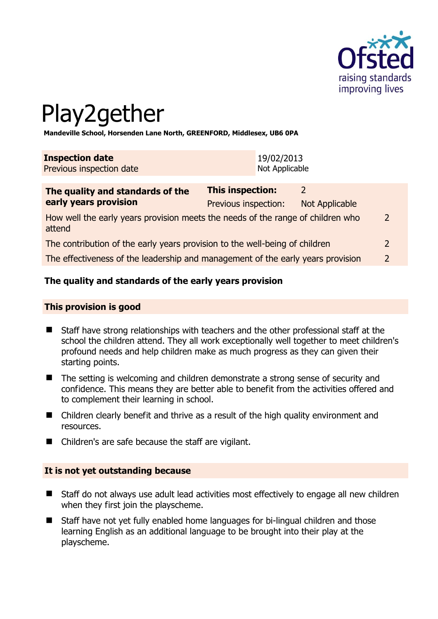

# Play2gether

**Mandeville School, Horsenden Lane North, GREENFORD, Middlesex, UB6 0PA** 

| <b>Inspection date</b>   | 19/02/2013     |
|--------------------------|----------------|
| Previous inspection date | Not Applicable |

| The quality and standards of the<br>early years provision                                 | <b>This inspection:</b> |                |                |
|-------------------------------------------------------------------------------------------|-------------------------|----------------|----------------|
|                                                                                           | Previous inspection:    | Not Applicable |                |
| How well the early years provision meets the needs of the range of children who<br>attend |                         |                | $\overline{2}$ |
| The contribution of the early years provision to the well-being of children               |                         | 2              |                |
| The effectiveness of the leadership and management of the early years provision           |                         |                | $\mathcal{D}$  |
|                                                                                           |                         |                |                |

## **The quality and standards of the early years provision**

### **This provision is good**

- Staff have strong relationships with teachers and the other professional staff at the school the children attend. They all work exceptionally well together to meet children's profound needs and help children make as much progress as they can given their starting points.
- The setting is welcoming and children demonstrate a strong sense of security and confidence. This means they are better able to benefit from the activities offered and to complement their learning in school.
- Children clearly benefit and thrive as a result of the high quality environment and resources.
- Children's are safe because the staff are vigilant.

## **It is not yet outstanding because**

- Staff do not always use adult lead activities most effectively to engage all new children when they first join the playscheme.
- Staff have not yet fully enabled home languages for bi-lingual children and those learning English as an additional language to be brought into their play at the playscheme.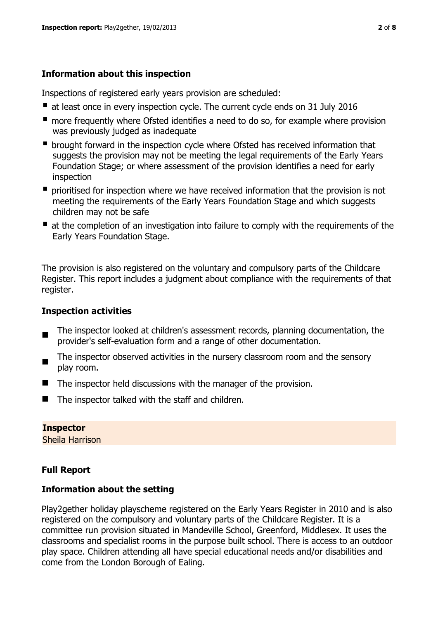# **Information about this inspection**

Inspections of registered early years provision are scheduled:

- at least once in every inspection cycle. The current cycle ends on 31 July 2016
- **n** more frequently where Ofsted identifies a need to do so, for example where provision was previously judged as inadequate
- **•** brought forward in the inspection cycle where Ofsted has received information that suggests the provision may not be meeting the legal requirements of the Early Years Foundation Stage; or where assessment of the provision identifies a need for early inspection
- **P** prioritised for inspection where we have received information that the provision is not meeting the requirements of the Early Years Foundation Stage and which suggests children may not be safe
- at the completion of an investigation into failure to comply with the requirements of the Early Years Foundation Stage.

The provision is also registered on the voluntary and compulsory parts of the Childcare Register. This report includes a judgment about compliance with the requirements of that register.

# **Inspection activities**

- $\blacksquare$ The inspector looked at children's assessment records, planning documentation, the provider's self-evaluation form and a range of other documentation.
- $\blacksquare$ The inspector observed activities in the nursery classroom room and the sensory play room.
- $\blacksquare$  The inspector held discussions with the manager of the provision.
- $\blacksquare$  The inspector talked with the staff and children.

### **Inspector**

Sheila Harrison

# **Full Report**

## **Information about the setting**

Play2gether holiday playscheme registered on the Early Years Register in 2010 and is also registered on the compulsory and voluntary parts of the Childcare Register. It is a committee run provision situated in Mandeville School, Greenford, Middlesex. It uses the classrooms and specialist rooms in the purpose built school. There is access to an outdoor play space. Children attending all have special educational needs and/or disabilities and come from the London Borough of Ealing.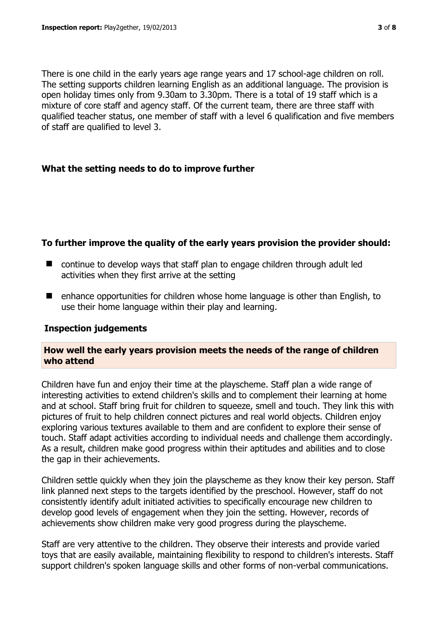There is one child in the early years age range years and 17 school-age children on roll. The setting supports children learning English as an additional language. The provision is open holiday times only from 9.30am to 3.30pm. There is a total of 19 staff which is a mixture of core staff and agency staff. Of the current team, there are three staff with qualified teacher status, one member of staff with a level 6 qualification and five members of staff are qualified to level 3.

## **What the setting needs to do to improve further**

## **To further improve the quality of the early years provision the provider should:**

- continue to develop ways that staff plan to engage children through adult led activities when they first arrive at the setting
- enhance opportunities for children whose home language is other than English, to use their home language within their play and learning.

### **Inspection judgements**

## **How well the early years provision meets the needs of the range of children who attend**

Children have fun and enjoy their time at the playscheme. Staff plan a wide range of interesting activities to extend children's skills and to complement their learning at home and at school. Staff bring fruit for children to squeeze, smell and touch. They link this with pictures of fruit to help children connect pictures and real world objects. Children enjoy exploring various textures available to them and are confident to explore their sense of touch. Staff adapt activities according to individual needs and challenge them accordingly. As a result, children make good progress within their aptitudes and abilities and to close the gap in their achievements.

Children settle quickly when they join the playscheme as they know their key person. Staff link planned next steps to the targets identified by the preschool. However, staff do not consistently identify adult initiated activities to specifically encourage new children to develop good levels of engagement when they join the setting. However, records of achievements show children make very good progress during the playscheme.

Staff are very attentive to the children. They observe their interests and provide varied toys that are easily available, maintaining flexibility to respond to children's interests. Staff support children's spoken language skills and other forms of non-verbal communications.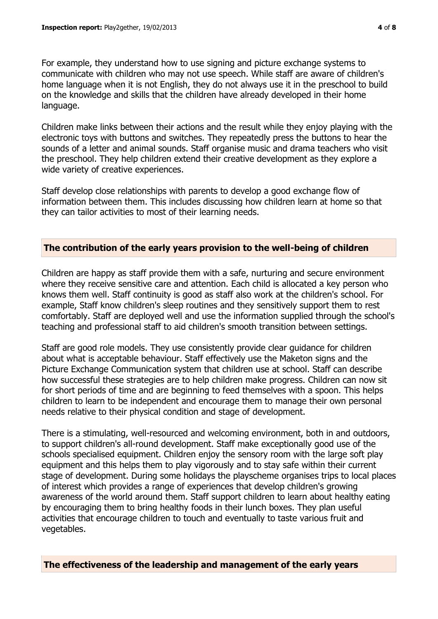For example, they understand how to use signing and picture exchange systems to communicate with children who may not use speech. While staff are aware of children's home language when it is not English, they do not always use it in the preschool to build on the knowledge and skills that the children have already developed in their home language.

Children make links between their actions and the result while they enjoy playing with the electronic toys with buttons and switches. They repeatedly press the buttons to hear the sounds of a letter and animal sounds. Staff organise music and drama teachers who visit the preschool. They help children extend their creative development as they explore a wide variety of creative experiences.

Staff develop close relationships with parents to develop a good exchange flow of information between them. This includes discussing how children learn at home so that they can tailor activities to most of their learning needs.

## **The contribution of the early years provision to the well-being of children**

Children are happy as staff provide them with a safe, nurturing and secure environment where they receive sensitive care and attention. Each child is allocated a key person who knows them well. Staff continuity is good as staff also work at the children's school. For example, Staff know children's sleep routines and they sensitively support them to rest comfortably. Staff are deployed well and use the information supplied through the school's teaching and professional staff to aid children's smooth transition between settings.

Staff are good role models. They use consistently provide clear guidance for children about what is acceptable behaviour. Staff effectively use the Maketon signs and the Picture Exchange Communication system that children use at school. Staff can describe how successful these strategies are to help children make progress. Children can now sit for short periods of time and are beginning to feed themselves with a spoon. This helps children to learn to be independent and encourage them to manage their own personal needs relative to their physical condition and stage of development.

There is a stimulating, well-resourced and welcoming environment, both in and outdoors, to support children's all-round development. Staff make exceptionally good use of the schools specialised equipment. Children enjoy the sensory room with the large soft play equipment and this helps them to play vigorously and to stay safe within their current stage of development. During some holidays the playscheme organises trips to local places of interest which provides a range of experiences that develop children's growing awareness of the world around them. Staff support children to learn about healthy eating by encouraging them to bring healthy foods in their lunch boxes. They plan useful activities that encourage children to touch and eventually to taste various fruit and vegetables.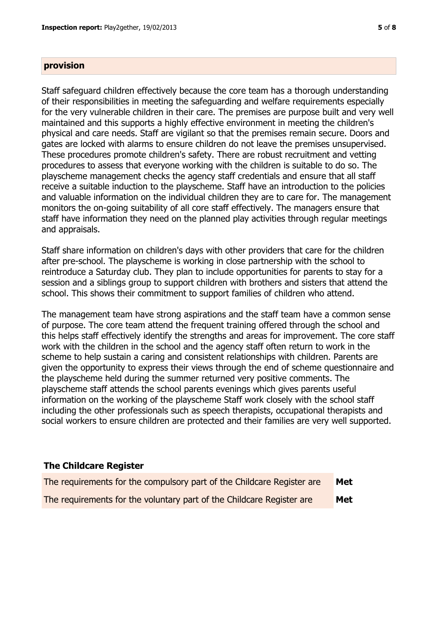#### **provision**

Staff safeguard children effectively because the core team has a thorough understanding of their responsibilities in meeting the safeguarding and welfare requirements especially for the very vulnerable children in their care. The premises are purpose built and very well maintained and this supports a highly effective environment in meeting the children's physical and care needs. Staff are vigilant so that the premises remain secure. Doors and gates are locked with alarms to ensure children do not leave the premises unsupervised. These procedures promote children's safety. There are robust recruitment and vetting procedures to assess that everyone working with the children is suitable to do so. The playscheme management checks the agency staff credentials and ensure that all staff receive a suitable induction to the playscheme. Staff have an introduction to the policies and valuable information on the individual children they are to care for. The management monitors the on-going suitability of all core staff effectively. The managers ensure that staff have information they need on the planned play activities through regular meetings and appraisals.

Staff share information on children's days with other providers that care for the children after pre-school. The playscheme is working in close partnership with the school to reintroduce a Saturday club. They plan to include opportunities for parents to stay for a session and a siblings group to support children with brothers and sisters that attend the school. This shows their commitment to support families of children who attend.

The management team have strong aspirations and the staff team have a common sense of purpose. The core team attend the frequent training offered through the school and this helps staff effectively identify the strengths and areas for improvement. The core staff work with the children in the school and the agency staff often return to work in the scheme to help sustain a caring and consistent relationships with children. Parents are given the opportunity to express their views through the end of scheme questionnaire and the playscheme held during the summer returned very positive comments. The playscheme staff attends the school parents evenings which gives parents useful information on the working of the playscheme Staff work closely with the school staff including the other professionals such as speech therapists, occupational therapists and social workers to ensure children are protected and their families are very well supported.

### **The Childcare Register**

| The requirements for the compulsory part of the Childcare Register are | Met |
|------------------------------------------------------------------------|-----|
| The requirements for the voluntary part of the Childcare Register are  | Met |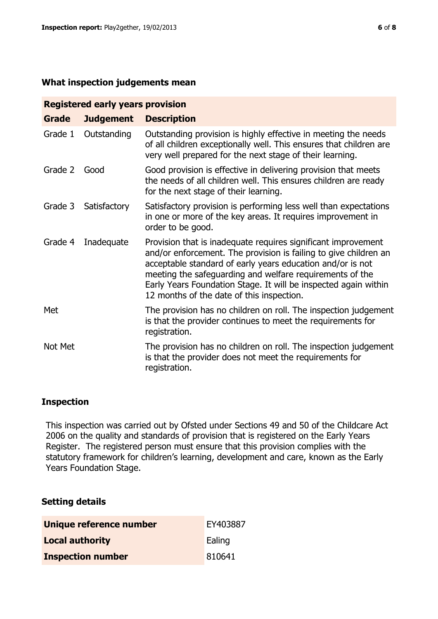#### **What inspection judgements mean**

| <b>Registered early years provision</b> |                  |                                                                                                                                                                                                                                                                                                                                                                             |  |  |
|-----------------------------------------|------------------|-----------------------------------------------------------------------------------------------------------------------------------------------------------------------------------------------------------------------------------------------------------------------------------------------------------------------------------------------------------------------------|--|--|
| <b>Grade</b>                            | <b>Judgement</b> | <b>Description</b>                                                                                                                                                                                                                                                                                                                                                          |  |  |
| Grade 1                                 | Outstanding      | Outstanding provision is highly effective in meeting the needs<br>of all children exceptionally well. This ensures that children are<br>very well prepared for the next stage of their learning.                                                                                                                                                                            |  |  |
| Grade 2                                 | Good             | Good provision is effective in delivering provision that meets<br>the needs of all children well. This ensures children are ready<br>for the next stage of their learning.                                                                                                                                                                                                  |  |  |
| Grade 3                                 | Satisfactory     | Satisfactory provision is performing less well than expectations<br>in one or more of the key areas. It requires improvement in<br>order to be good.                                                                                                                                                                                                                        |  |  |
| Grade 4                                 | Inadequate       | Provision that is inadequate requires significant improvement<br>and/or enforcement. The provision is failing to give children an<br>acceptable standard of early years education and/or is not<br>meeting the safeguarding and welfare requirements of the<br>Early Years Foundation Stage. It will be inspected again within<br>12 months of the date of this inspection. |  |  |
| Met                                     |                  | The provision has no children on roll. The inspection judgement<br>is that the provider continues to meet the requirements for<br>registration.                                                                                                                                                                                                                             |  |  |
| Not Met                                 |                  | The provision has no children on roll. The inspection judgement<br>is that the provider does not meet the requirements for<br>registration.                                                                                                                                                                                                                                 |  |  |

### **Inspection**

This inspection was carried out by Ofsted under Sections 49 and 50 of the Childcare Act 2006 on the quality and standards of provision that is registered on the Early Years Register. The registered person must ensure that this provision complies with the statutory framework for children's learning, development and care, known as the Early Years Foundation Stage.

### **Setting details**

| Unique reference number  | EY403887 |
|--------------------------|----------|
| <b>Local authority</b>   | Ealing   |
| <b>Inspection number</b> | 810641   |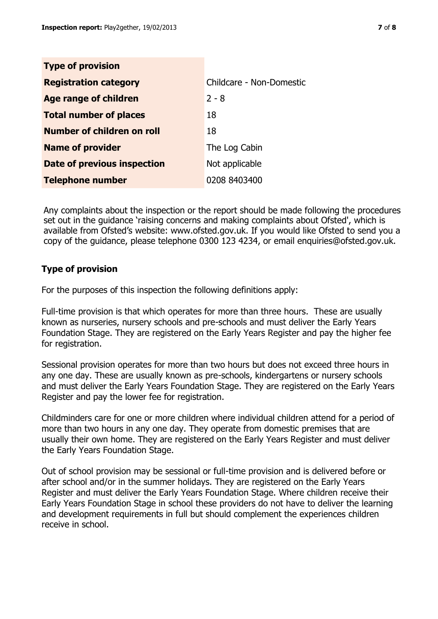| <b>Type of provision</b>      |                          |
|-------------------------------|--------------------------|
| <b>Registration category</b>  | Childcare - Non-Domestic |
| <b>Age range of children</b>  | $2 - 8$                  |
| <b>Total number of places</b> | 18                       |
| Number of children on roll    | 18                       |
| <b>Name of provider</b>       | The Log Cabin            |
| Date of previous inspection   | Not applicable           |
| <b>Telephone number</b>       | 0208 8403400             |

Any complaints about the inspection or the report should be made following the procedures set out in the guidance 'raising concerns and making complaints about Ofsted', which is available from Ofsted's website: www.ofsted.gov.uk. If you would like Ofsted to send you a copy of the guidance, please telephone 0300 123 4234, or email enquiries@ofsted.gov.uk.

# **Type of provision**

For the purposes of this inspection the following definitions apply:

Full-time provision is that which operates for more than three hours. These are usually known as nurseries, nursery schools and pre-schools and must deliver the Early Years Foundation Stage. They are registered on the Early Years Register and pay the higher fee for registration.

Sessional provision operates for more than two hours but does not exceed three hours in any one day. These are usually known as pre-schools, kindergartens or nursery schools and must deliver the Early Years Foundation Stage. They are registered on the Early Years Register and pay the lower fee for registration.

Childminders care for one or more children where individual children attend for a period of more than two hours in any one day. They operate from domestic premises that are usually their own home. They are registered on the Early Years Register and must deliver the Early Years Foundation Stage.

Out of school provision may be sessional or full-time provision and is delivered before or after school and/or in the summer holidays. They are registered on the Early Years Register and must deliver the Early Years Foundation Stage. Where children receive their Early Years Foundation Stage in school these providers do not have to deliver the learning and development requirements in full but should complement the experiences children receive in school.